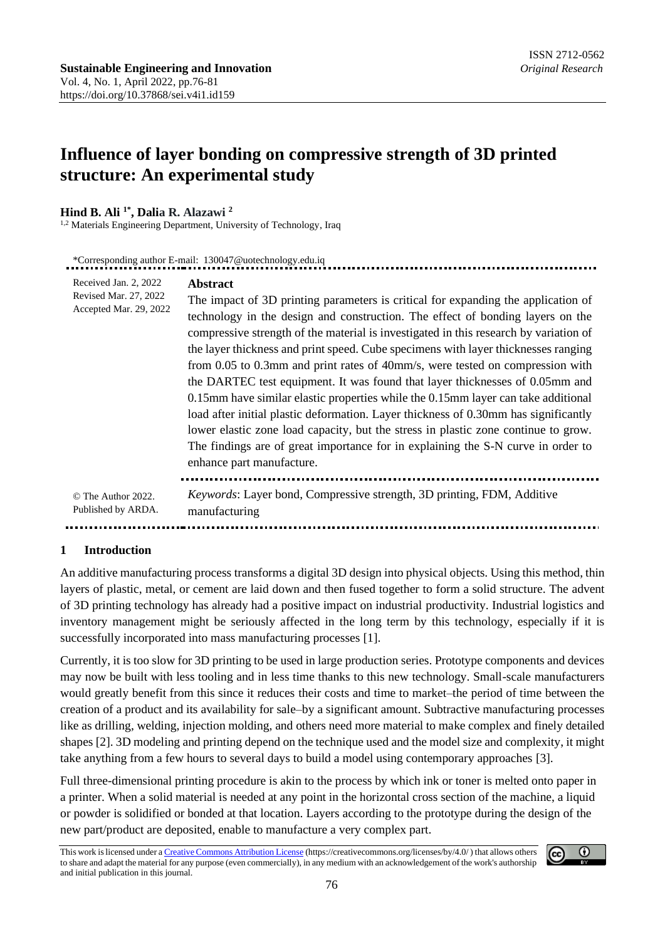# **Influence of layer bonding on compressive strength of 3D printed structure: An experimental study**

## **Hind B. Ali 1\* , Dalia R. Alazawi <sup>2</sup>**

<sup>1,2</sup> Materials Engineering Department, University of Technology, Iraq

| *Corresponding author E-mail: 130047@uotechnology.edu.iq                 |                                                                                                                                                                                                                                                                                                                                                                                                                                                                                                                                                                                                                                                                                                                                                                                                                                                                                                                           |  |
|--------------------------------------------------------------------------|---------------------------------------------------------------------------------------------------------------------------------------------------------------------------------------------------------------------------------------------------------------------------------------------------------------------------------------------------------------------------------------------------------------------------------------------------------------------------------------------------------------------------------------------------------------------------------------------------------------------------------------------------------------------------------------------------------------------------------------------------------------------------------------------------------------------------------------------------------------------------------------------------------------------------|--|
| Received Jan. 2, 2022<br>Revised Mar. 27, 2022<br>Accepted Mar. 29, 2022 | <b>Abstract</b><br>The impact of 3D printing parameters is critical for expanding the application of<br>technology in the design and construction. The effect of bonding layers on the<br>compressive strength of the material is investigated in this research by variation of<br>the layer thickness and print speed. Cube specimens with layer thicknesses ranging<br>from 0.05 to 0.3mm and print rates of 40mm/s, were tested on compression with<br>the DARTEC test equipment. It was found that layer thicknesses of 0.05mm and<br>0.15mm have similar elastic properties while the 0.15mm layer can take additional<br>load after initial plastic deformation. Layer thickness of 0.30mm has significantly<br>lower elastic zone load capacity, but the stress in plastic zone continue to grow.<br>The findings are of great importance for in explaining the S-N curve in order to<br>enhance part manufacture. |  |
| © The Author 2022.<br>Published by ARDA.                                 | <i>Keywords:</i> Layer bond, Compressive strength, 3D printing, FDM, Additive<br>manufacturing                                                                                                                                                                                                                                                                                                                                                                                                                                                                                                                                                                                                                                                                                                                                                                                                                            |  |

### **1 Introduction**

An additive manufacturing process transforms a digital 3D design into physical objects. Using this method, thin layers of plastic, metal, or cement are laid down and then fused together to form a solid structure. The advent of 3D printing technology has already had a positive impact on industrial productivity. Industrial logistics and inventory management might be seriously affected in the long term by this technology, especially if it is successfully incorporated into mass manufacturing processes [1].

Currently, it is too slow for 3D printing to be used in large production series. Prototype components and devices may now be built with less tooling and in less time thanks to this new technology. Small-scale manufacturers would greatly benefit from this since it reduces their costs and time to market–the period of time between the creation of a product and its availability for sale–by a significant amount. Subtractive manufacturing processes like as drilling, welding, injection molding, and others need more material to make complex and finely detailed shapes [2]. 3D modeling and printing depend on the technique used and the model size and complexity, it might take anything from a few hours to several days to build a model using contemporary approaches [3].

Full three-dimensional printing procedure is akin to the process by which ink or toner is melted onto paper in a printer. When a solid material is needed at any point in the horizontal cross section of the machine, a liquid or powder is solidified or bonded at that location. Layers according to the prototype during the design of the new part/product are deposited, enable to manufacture a very complex part.

This work is licensed under [a Creative Commons Attribution License](https://creativecommons.org/licenses/by/4.0/) (https://creativecommons.org/licenses/by/4.0/ ) that allows others to share and adapt the material for any purpose (even commercially), in any medium with an acknowledgement of the work's authorship and initial publication in this journal.

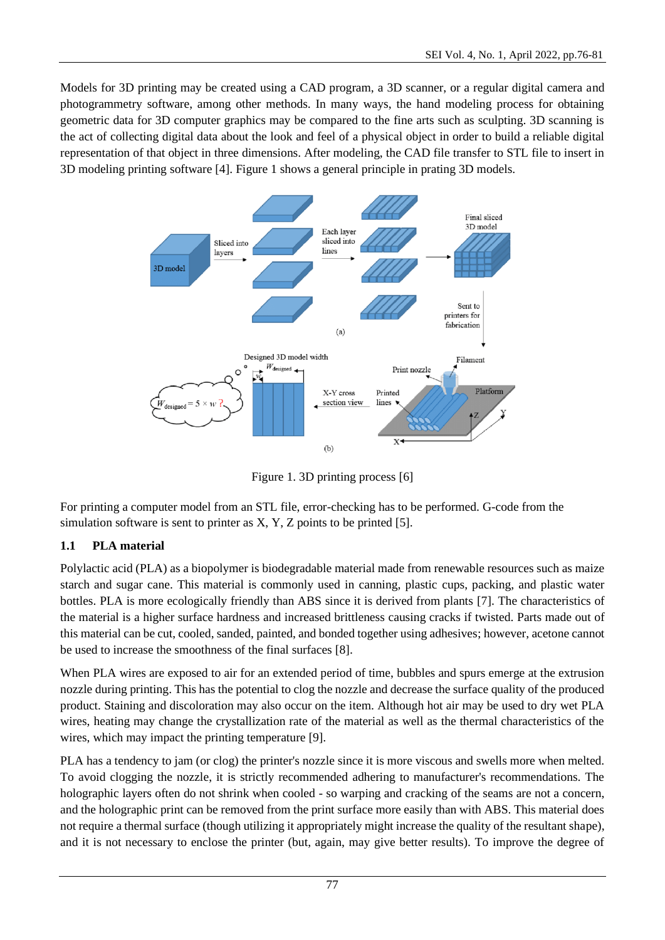Models for 3D printing may be created using a CAD program, a 3D scanner, or a regular digital camera and photogrammetry software, among other methods. In many ways, the hand modeling process for obtaining geometric data for 3D computer graphics may be compared to the fine arts such as sculpting. 3D scanning is the act of collecting digital data about the look and feel of a physical object in order to build a reliable digital representation of that object in three dimensions. After modeling, the CAD file transfer to STL file to insert in 3D modeling printing software [4]. Figure 1 shows a general principle in prating 3D models.



Figure 1. 3D printing process [6]

For printing a computer model from an STL file, error-checking has to be performed. G-code from the simulation software is sent to printer as  $X$ ,  $Y$ ,  $Z$  points to be printed [5].

## **1.1 PLA material**

Polylactic acid (PLA) as a biopolymer is biodegradable material made from renewable resources such as maize starch and sugar cane. This material is commonly used in canning, plastic cups, packing, and plastic water bottles. PLA is more ecologically friendly than ABS since it is derived from plants [7]. The characteristics of the material is a higher surface hardness and increased brittleness causing cracks if twisted. Parts made out of this material can be cut, cooled, sanded, painted, and bonded together using adhesives; however, acetone cannot be used to increase the smoothness of the final surfaces [8].

When PLA wires are exposed to air for an extended period of time, bubbles and spurs emerge at the extrusion nozzle during printing. This has the potential to clog the nozzle and decrease the surface quality of the produced product. Staining and discoloration may also occur on the item. Although hot air may be used to dry wet PLA wires, heating may change the crystallization rate of the material as well as the thermal characteristics of the wires, which may impact the printing temperature [9].

PLA has a tendency to jam (or clog) the printer's nozzle since it is more viscous and swells more when melted. To avoid clogging the nozzle, it is strictly recommended adhering to manufacturer's recommendations. The holographic layers often do not shrink when cooled - so warping and cracking of the seams are not a concern, and the holographic print can be removed from the print surface more easily than with ABS. This material does not require a thermal surface (though utilizing it appropriately might increase the quality of the resultant shape), and it is not necessary to enclose the printer (but, again, may give better results). To improve the degree of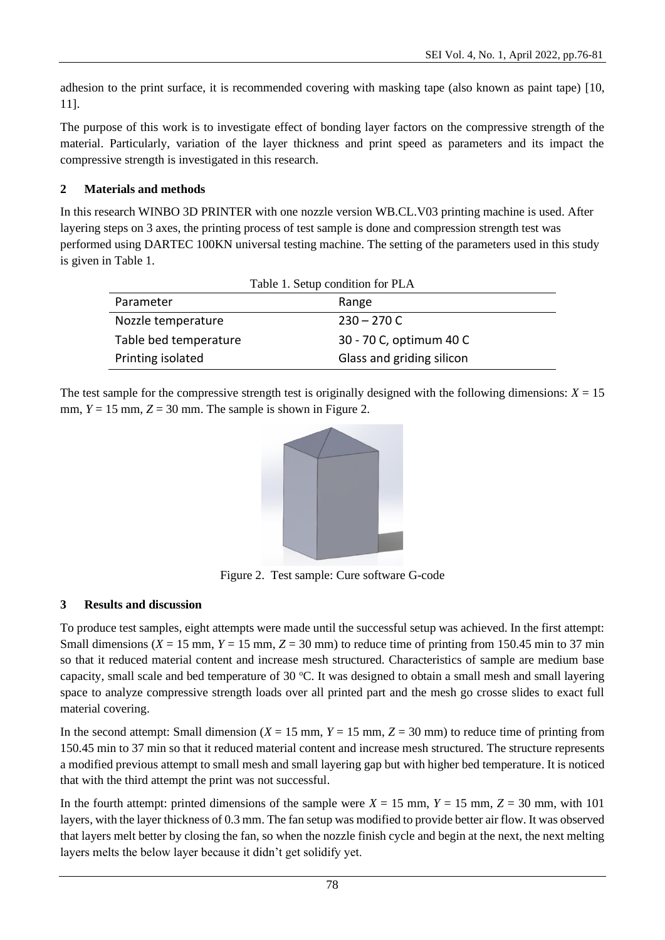adhesion to the print surface, it is recommended covering with masking tape (also known as paint tape) [10, 11].

The purpose of this work is to investigate effect of bonding layer factors on the compressive strength of the material. Particularly, variation of the layer thickness and print speed as parameters and its impact the compressive strength is investigated in this research.

## **2 Materials and methods**

In this research WINBO 3D PRINTER with one nozzle version WB.CL.V03 printing machine is used. After layering steps on 3 axes, the printing process of test sample is done and compression strength test was performed using DARTEC 100KN universal testing machine. The setting of the parameters used in this study is given in Table 1.

| Table 1. Setup condition for PLA |                           |  |
|----------------------------------|---------------------------|--|
| Parameter                        | Range                     |  |
| Nozzle temperature               | $230 - 270$ C             |  |
| Table bed temperature            | 30 - 70 C, optimum 40 C   |  |
| Printing isolated                | Glass and griding silicon |  |

The test sample for the compressive strength test is originally designed with the following dimensions:  $X = 15$ mm,  $Y = 15$  mm,  $Z = 30$  mm. The sample is shown in Figure 2.



Figure 2. Test sample: Cure software G-code

## **3 Results and discussion**

To produce test samples, eight attempts were made until the successful setup was achieved. In the first attempt: Small dimensions ( $X = 15$  mm,  $Y = 15$  mm,  $Z = 30$  mm) to reduce time of printing from 150.45 min to 37 min so that it reduced material content and increase mesh structured. Characteristics of sample are medium base capacity, small scale and bed temperature of 30  $^{\circ}$ C. It was designed to obtain a small mesh and small layering space to analyze compressive strength loads over all printed part and the mesh go crosse slides to exact full material covering.

In the second attempt: Small dimension  $(X = 15$  mm,  $Y = 15$  mm,  $Z = 30$  mm) to reduce time of printing from 150.45 min to 37 min so that it reduced material content and increase mesh structured. The structure represents a modified previous attempt to small mesh and small layering gap but with higher bed temperature. It is noticed that with the third attempt the print was not successful.

In the fourth attempt: printed dimensions of the sample were  $X = 15$  mm,  $Y = 15$  mm,  $Z = 30$  mm, with 101 layers, with the layer thickness of 0.3 mm. The fan setup was modified to provide better air flow. It was observed that layers melt better by closing the fan, so when the nozzle finish cycle and begin at the next, the next melting layers melts the below layer because it didn't get solidify yet.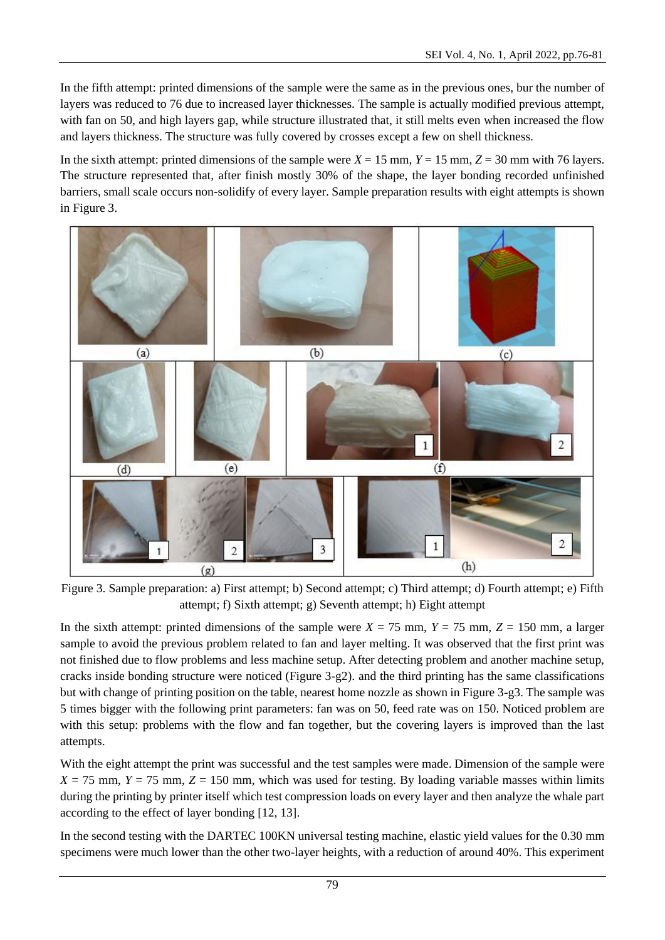In the fifth attempt: printed dimensions of the sample were the same as in the previous ones, bur the number of layers was reduced to 76 due to increased layer thicknesses. The sample is actually modified previous attempt, with fan on 50, and high layers gap, while structure illustrated that, it still melts even when increased the flow and layers thickness. The structure was fully covered by crosses except a few on shell thickness.

In the sixth attempt: printed dimensions of the sample were  $X = 15$  mm,  $Y = 15$  mm,  $Z = 30$  mm with 76 layers. The structure represented that, after finish mostly 30% of the shape, the layer bonding recorded unfinished barriers, small scale occurs non-solidify of every layer. Sample preparation results with eight attempts is shown in Figure 3.



Figure 3. Sample preparation: a) First attempt; b) Second attempt; c) Third attempt; d) Fourth attempt; e) Fifth attempt; f) Sixth attempt; g) Seventh attempt; h) Eight attempt

In the sixth attempt: printed dimensions of the sample were  $X = 75$  mm,  $Y = 75$  mm,  $Z = 150$  mm, a larger sample to avoid the previous problem related to fan and layer melting. It was observed that the first print was not finished due to flow problems and less machine setup. After detecting problem and another machine setup, cracks inside bonding structure were noticed (Figure 3-g2). and the third printing has the same classifications but with change of printing position on the table, nearest home nozzle as shown in Figure 3-g3. The sample was 5 times bigger with the following print parameters: fan was on 50, feed rate was on 150. Noticed problem are with this setup: problems with the flow and fan together, but the covering layers is improved than the last attempts.

With the eight attempt the print was successful and the test samples were made. Dimension of the sample were  $X = 75$  mm,  $Y = 75$  mm,  $Z = 150$  mm, which was used for testing. By loading variable masses within limits during the printing by printer itself which test compression loads on every layer and then analyze the whale part according to the effect of layer bonding [12, 13].

In the second testing with the DARTEC 100KN universal testing machine, elastic yield values for the 0.30 mm specimens were much lower than the other two-layer heights, with a reduction of around 40%. This experiment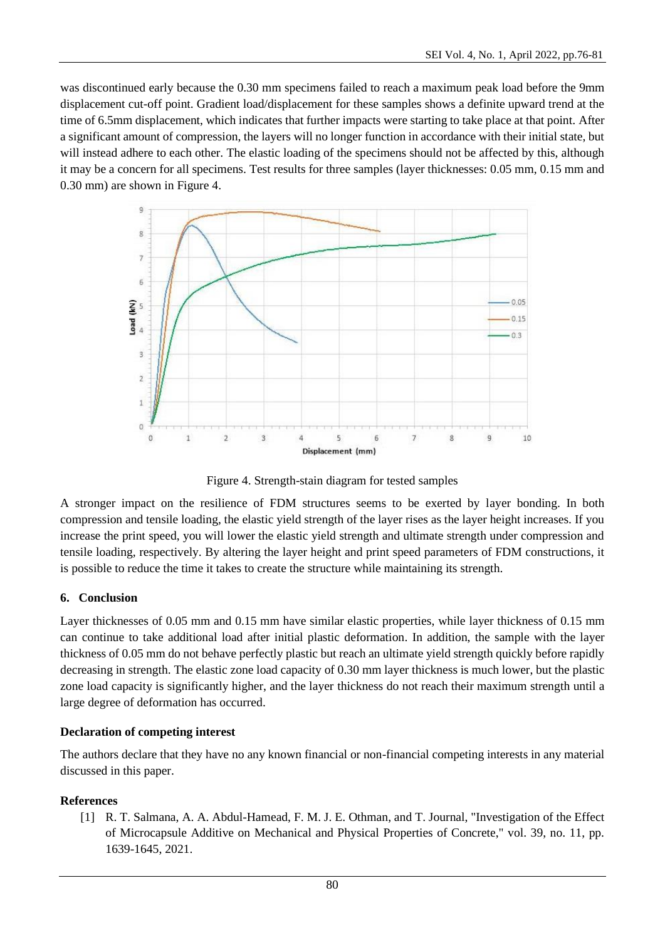was discontinued early because the 0.30 mm specimens failed to reach a maximum peak load before the 9mm displacement cut-off point. Gradient load/displacement for these samples shows a definite upward trend at the time of 6.5mm displacement, which indicates that further impacts were starting to take place at that point. After a significant amount of compression, the layers will no longer function in accordance with their initial state, but will instead adhere to each other. The elastic loading of the specimens should not be affected by this, although it may be a concern for all specimens. Test results for three samples (layer thicknesses: 0.05 mm, 0.15 mm and 0.30 mm) are shown in Figure 4.



Figure 4. Strength-stain diagram for tested samples

A stronger impact on the resilience of FDM structures seems to be exerted by layer bonding. In both compression and tensile loading, the elastic yield strength of the layer rises as the layer height increases. If you increase the print speed, you will lower the elastic yield strength and ultimate strength under compression and tensile loading, respectively. By altering the layer height and print speed parameters of FDM constructions, it is possible to reduce the time it takes to create the structure while maintaining its strength.

### **6. Conclusion**

Layer thicknesses of 0.05 mm and 0.15 mm have similar elastic properties, while layer thickness of 0.15 mm can continue to take additional load after initial plastic deformation. In addition, the sample with the layer thickness of 0.05 mm do not behave perfectly plastic but reach an ultimate yield strength quickly before rapidly decreasing in strength. The elastic zone load capacity of 0.30 mm layer thickness is much lower, but the plastic zone load capacity is significantly higher, and the layer thickness do not reach their maximum strength until a large degree of deformation has occurred.

### **Declaration of competing interest**

The authors declare that they have no any known financial or non-financial competing interests in any material discussed in this paper.

### **References**

[1] R. T. Salmana, A. A. Abdul-Hamead, F. M. J. E. Othman, and T. Journal, "Investigation of the Effect of Microcapsule Additive on Mechanical and Physical Properties of Concrete," vol. 39, no. 11, pp. 1639-1645, 2021.